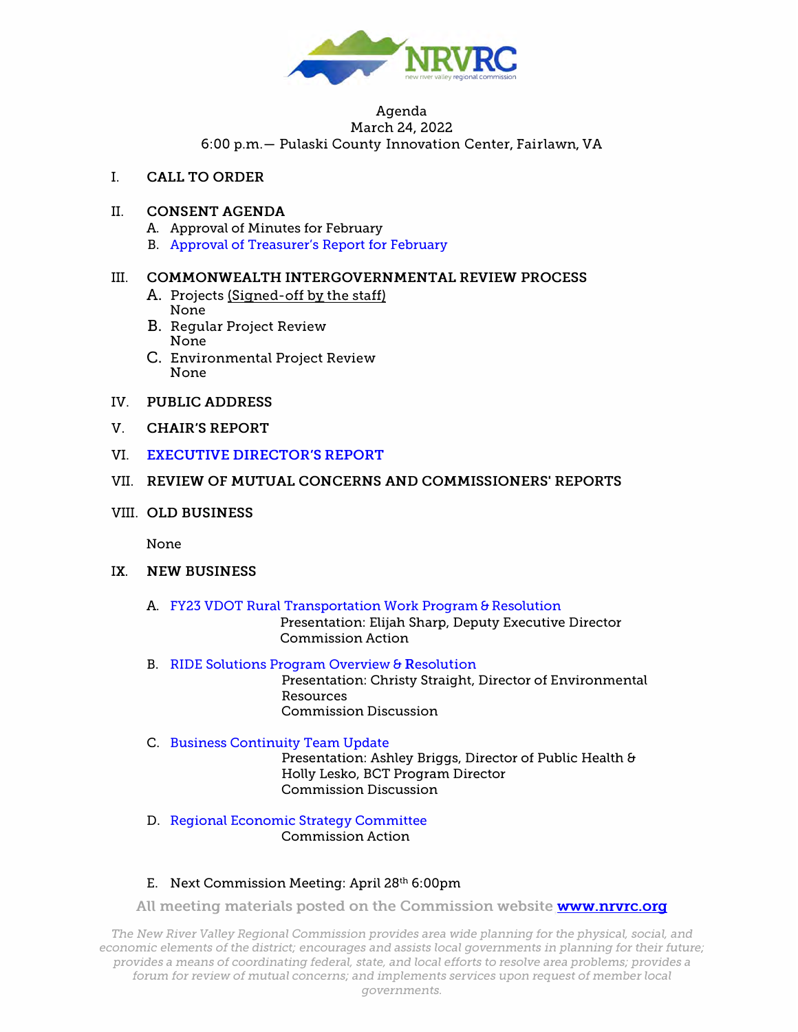

#### Agenda March 24, 2022

6:00 p.m.- Pulaski County Innovation Center, Fairlawn, VA

I. CALL TO ORDER

### II. CONSENT AGENDA

- A. Approval of Minutes for February
- B. [Approval of Treasurer's Report for February](#page-1-0)

#### III. COMMONWEALTH INTERGOVERNMENTAL REVIEW PROCESS

- **A.** Projects (Signed-off by the staff) None
- B. Regular Project Review None
- C. Environmental Project Review None
- IV. PUBLIC ADDRESS
- V. CHAIR'S REPORT
- VI. [EXECUTIVE DIRECTOR'S REPORT](#page-5-0)
- VII. REVIEW OF MUTUAL CONCERNS AND COMMISSIONERS' REPORTS
- VIII. OLD BUSINESS

None

- IX. NEW BUSINESS
	- A. [FY23 VDOT Rural Transportation Work Program &](#page-7-0) Resolution

Presentation: Elijah Sharp, Deputy Executive Director Commission Action

B. [RIDE Solutions Program Overview &](#page-19-0) Resolution

Presentation: Christy Straight, Director of Environmental Resources Commission Discussion

C. [Business Continuity Team Update](#page-21-0)

Presentation: Ashley Briggs, Director of Public Health & Holly Lesko, BCT Program Director Commission Discussion

D. [Regional Economic Strategy Committee](#page-22-0) Commission Action

#### E. Next Commission Meeting: April 28th 6:00pm

**AU meeting materials posted on the Commission website [www.nrvrc.org](http://www.nrvrc.org/)** 

*The New River Valley Regional Commission provides area wide planning for the physical, social,* and *economic elements of the district; encourages* and *assists local governments in planning for their future; provides* a means *of coordinating federal, state,* and *local efforts to resolve area problems; provides* a *forum for review of mutual* concerns; and *implements services* upon *request of member local governments.*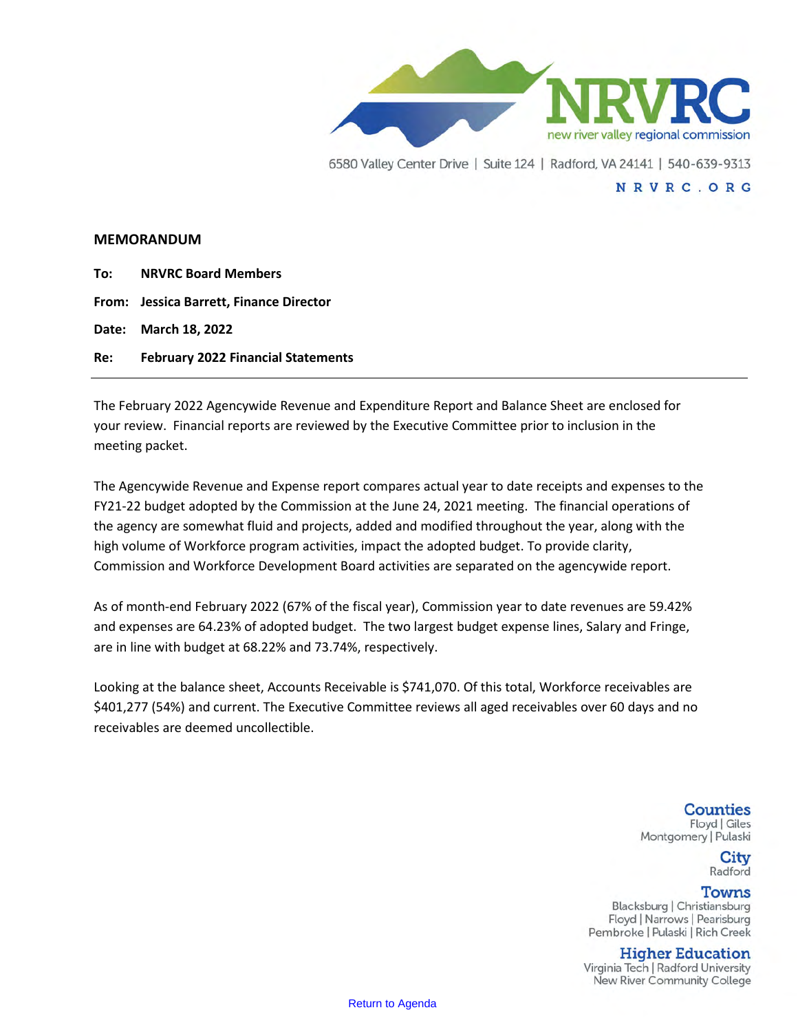

6580 Valley Center Drive | Suite 124 | Radford, VA 24141 | 540-639-9313 NRVRC.ORG

#### <span id="page-1-0"></span>**MEMORANDUM**

| <b>To: NRVRC Board Members</b>          |
|-----------------------------------------|
| From: Jessica Barrett, Finance Director |
| Date: March 18, 2022                    |
| Re: February 2022 Financial Statements  |

The February 2022 Agencywide Revenue and Expenditure Report and Balance Sheet are enclosed for your review. Financial reports are reviewed by the Executive Committee prior to inclusion in the meeting packet.

The Agencywide Revenue and Expense report compares actual year to date receipts and expenses to the FY21-22 budget adopted by the Commission at the June 24, 2021 meeting. The financial operations of the agency are somewhat fluid and projects, added and modified throughout the year, along with the high volume of Workforce program activities, impact the adopted budget. To provide clarity, Commission and Workforce Development Board activities are separated on the agencywide report.

As of month-end February 2022 (67% of the fiscal year), Commission year to date revenues are 59.42% and expenses are 64.23% of adopted budget. The two largest budget expense lines, Salary and Fringe, are in line with budget at 68.22% and 73.74%, respectively.

Looking at the balance sheet, Accounts Receivable is \$741,070. Of this total, Workforce receivables are \$401,277 (54%) and current. The Executive Committee reviews all aged receivables over 60 days and no receivables are deemed uncollectible.

#### **Counties** Floyd | Giles Montgomery | Pulaski

City Radford

#### **Towns**

Blacksburg | Christiansburg Floyd | Narrows | Pearisburg Pembroke | Pulaski | Rich Creek

#### **Higher Education**

Virginia Tech | Radford University New River Community College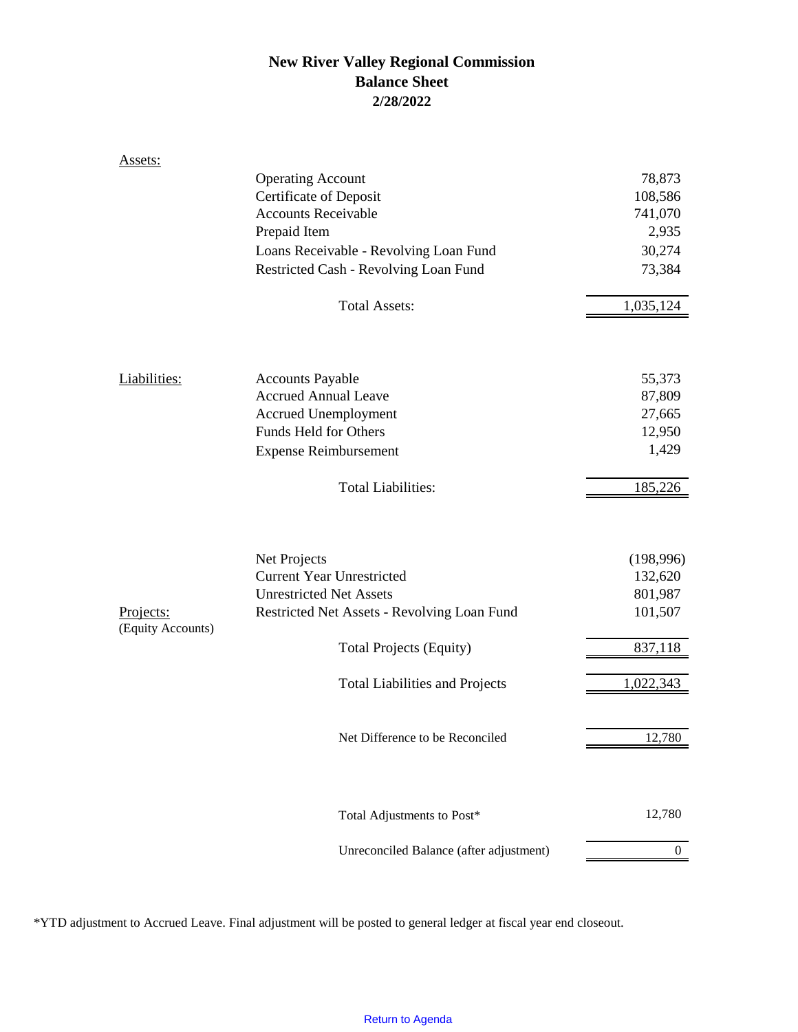### **New River Valley Regional Commission Balance Sheet 2/28/2022**

| Assets:                        |                                             |              |
|--------------------------------|---------------------------------------------|--------------|
|                                | <b>Operating Account</b>                    | 78,873       |
|                                | <b>Certificate of Deposit</b>               | 108,586      |
|                                | <b>Accounts Receivable</b>                  | 741,070      |
|                                | Prepaid Item                                | 2,935        |
|                                | Loans Receivable - Revolving Loan Fund      | 30,274       |
|                                | Restricted Cash - Revolving Loan Fund       | 73,384       |
|                                | <b>Total Assets:</b>                        | 1,035,124    |
|                                |                                             |              |
| Liabilities:                   | <b>Accounts Payable</b>                     | 55,373       |
|                                | <b>Accrued Annual Leave</b>                 | 87,809       |
|                                | Accrued Unemployment                        | 27,665       |
|                                | Funds Held for Others                       | 12,950       |
|                                | <b>Expense Reimbursement</b>                | 1,429        |
|                                | <b>Total Liabilities:</b>                   | 185,226      |
|                                |                                             |              |
|                                | Net Projects                                | (198,996)    |
|                                | <b>Current Year Unrestricted</b>            | 132,620      |
|                                | <b>Unrestricted Net Assets</b>              | 801,987      |
| Projects:<br>(Equity Accounts) | Restricted Net Assets - Revolving Loan Fund | 101,507      |
|                                | <b>Total Projects (Equity)</b>              | 837,118      |
|                                | <b>Total Liabilities and Projects</b>       | 1,022,343    |
|                                |                                             |              |
|                                | Net Difference to be Reconciled             | 12,780       |
|                                |                                             |              |
|                                | Total Adjustments to Post*                  | 12,780       |
|                                | Unreconciled Balance (after adjustment)     | $\mathbf{0}$ |

\*YTD adjustment to Accrued Leave. Final adjustment will be posted to general ledger at fiscal year end closeout.

#### Return to Agenda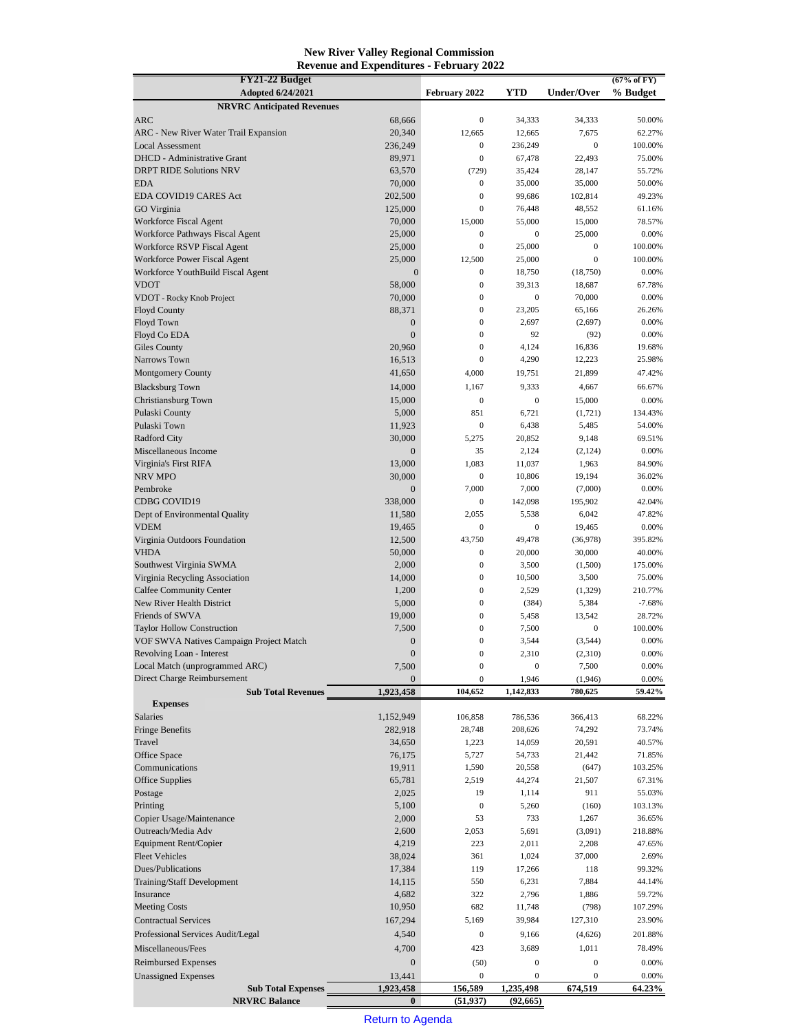#### **New River Valley Regional Commission Revenue and Expenditures - February 2022**

| FY21-22 Budget                                   |                            |                            |                  |                    | (67% of FY)       |
|--------------------------------------------------|----------------------------|----------------------------|------------------|--------------------|-------------------|
| <b>Adopted 6/24/2021</b>                         |                            | February 2022              | <b>YTD</b>       | Under/Over         | % Budget          |
| <b>NRVRC Anticipated Revenues</b><br><b>ARC</b>  | 68,666                     | $\boldsymbol{0}$           | 34,333           | 34,333             | 50.00%            |
| ARC - New River Water Trail Expansion            | 20,340                     | 12,665                     | 12,665           | 7,675              | 62.27%            |
| <b>Local Assessment</b>                          | 236,249                    | $\boldsymbol{0}$           | 236,249          | $\mathbf{0}$       | 100.00%           |
| DHCD - Administrative Grant                      | 89,971                     | $\boldsymbol{0}$           | 67,478           | 22,493             | 75.00%            |
| <b>DRPT RIDE Solutions NRV</b>                   | 63,570                     | (729)                      | 35,424           | 28,147             | 55.72%            |
| <b>EDA</b>                                       | 70,000                     | $\boldsymbol{0}$           | 35,000           | 35,000             | 50.00%            |
| EDA COVID19 CARES Act                            | 202,500                    | $\mathbf{0}$               | 99,686           | 102,814            | 49.23%            |
| <b>GO</b> Virginia                               | 125,000                    | $\boldsymbol{0}$           | 76,448           | 48,552             | 61.16%            |
| Workforce Fiscal Agent                           | 70,000                     | 15,000                     | 55,000           | 15,000             | 78.57%            |
| Workforce Pathways Fiscal Agent                  | 25,000                     | $\boldsymbol{0}$           | $\mathbf{0}$     | 25,000             | 0.00%             |
| Workforce RSVP Fiscal Agent                      | 25,000                     | $\boldsymbol{0}$           | 25,000           | $\boldsymbol{0}$   | 100.00%           |
| Workforce Power Fiscal Agent                     | 25,000<br>$\boldsymbol{0}$ | 12,500<br>$\boldsymbol{0}$ | 25,000<br>18,750 | $\mathbf{0}$       | 100.00%<br>0.00%  |
| Workforce YouthBuild Fiscal Agent<br><b>VDOT</b> | 58,000                     | $\boldsymbol{0}$           | 39,313           | (18,750)<br>18,687 | 67.78%            |
| VDOT - Rocky Knob Project                        | 70,000                     | $\boldsymbol{0}$           | $\mathbf{0}$     | 70,000             | 0.00%             |
| <b>Floyd County</b>                              | 88,371                     | $\boldsymbol{0}$           | 23,205           | 65,166             | 26.26%            |
| Floyd Town                                       | $\mathbf{0}$               | $\boldsymbol{0}$           | 2,697            | (2,697)            | 0.00%             |
| Floyd Co EDA                                     | $\mathbf{0}$               | $\boldsymbol{0}$           | 92               | (92)               | 0.00%             |
| Giles County                                     | 20,960                     | $\boldsymbol{0}$           | 4,124            | 16,836             | 19.68%            |
| <b>Narrows Town</b>                              | 16,513                     | $\mathbf{0}$               | 4,290            | 12,223             | 25.98%            |
| <b>Montgomery County</b>                         | 41,650                     | 4,000                      | 19,751           | 21,899             | 47.42%            |
| <b>Blacksburg Town</b>                           | 14,000                     | 1,167                      | 9,333            | 4,667              | 66.67%            |
| Christiansburg Town                              | 15,000                     | $\boldsymbol{0}$           | $\boldsymbol{0}$ | 15,000             | 0.00%             |
| Pulaski County                                   | 5,000                      | 851                        | 6,721            | (1, 721)           | 134.43%           |
| Pulaski Town                                     | 11,923                     | $\boldsymbol{0}$           | 6,438            | 5,485              | 54.00%            |
| <b>Radford City</b>                              | 30,000                     | 5,275                      | 20,852           | 9,148              | 69.51%            |
| Miscellaneous Income                             | $\mathbf{0}$               | 35                         | 2,124            | (2,124)            | 0.00%             |
| Virginia's First RIFA                            | 13,000                     | 1,083                      | 11,037           | 1,963              | 84.90%            |
| <b>NRV MPO</b>                                   | 30,000                     | $\boldsymbol{0}$           | 10,806           | 19,194             | 36.02%            |
| Pembroke                                         | $\mathbf{0}$               | 7,000                      | 7,000            | (7,000)            | 0.00%             |
| CDBG COVID19                                     | 338,000                    | $\boldsymbol{0}$           | 142,098          | 195,902            | 42.04%            |
| Dept of Environmental Quality                    | 11,580                     | 2,055                      | 5,538            | 6,042              | 47.82%            |
| <b>VDEM</b>                                      | 19,465                     | $\boldsymbol{0}$           | $\mathbf{0}$     | 19,465             | 0.00%             |
| Virginia Outdoors Foundation<br><b>VHDA</b>      | 12,500                     | 43,750<br>$\boldsymbol{0}$ | 49,478           | (36,978)           | 395.82%           |
| Southwest Virginia SWMA                          | 50,000<br>2,000            | $\boldsymbol{0}$           | 20,000<br>3,500  | 30,000             | 40.00%<br>175.00% |
| Virginia Recycling Association                   | 14,000                     | $\boldsymbol{0}$           | 10,500           | (1,500)<br>3,500   | 75.00%            |
| <b>Calfee Community Center</b>                   | 1,200                      | $\boldsymbol{0}$           | 2,529            | (1, 329)           | 210.77%           |
| New River Health District                        | 5,000                      | $\mathbf{0}$               | (384)            | 5,384              | $-7.68%$          |
| Friends of SWVA                                  | 19,000                     | $\boldsymbol{0}$           | 5,458            | 13,542             | 28.72%            |
| <b>Taylor Hollow Construction</b>                | 7,500                      | $\boldsymbol{0}$           | 7,500            | $\boldsymbol{0}$   | 100.00%           |
| VOF SWVA Natives Campaign Project Match          | $\mathbf{0}$               | $\boldsymbol{0}$           | 3,544            | (3,544)            | 0.00%             |
| Revolving Loan - Interest                        | $\mathbf{0}$               | $\mathbf{0}$               | 2,310            | (2,310)            | 0.00%             |
| Local Match (unprogrammed ARC)                   | 7,500                      | $\boldsymbol{0}$           | $\mathbf 0$      | 7,500              | 0.00%             |
| Direct Charge Reimbursement                      | $\mathbf{0}$               | $\boldsymbol{0}$           | 1,946            | (1,946)            | 0.00%             |
| <b>Sub Total Revenues</b>                        | 1,923,458                  | 104,652                    | 1,142,833        | 780,625            | 59.42%            |
| <b>Expenses</b>                                  |                            |                            |                  |                    |                   |
| Salaries                                         | 1,152,949                  | 106,858                    | 786,536          | 366,413            | 68.22%            |
| <b>Fringe Benefits</b>                           | 282,918                    | 28,748                     | 208,626          | 74,292             | 73.74%            |
| Travel                                           | 34,650                     | 1,223                      | 14,059           | 20,591             | 40.57%            |
| Office Space                                     | 76,175                     | 5,727                      | 54,733           | 21,442             | 71.85%            |
| Communications<br>Office Supplies                | 19,911<br>65,781           | 1,590<br>2,519             | 20,558           | (647)              | 103.25%<br>67.31% |
| Postage                                          | 2,025                      | 19                         | 44,274<br>1,114  | 21,507<br>911      | 55.03%            |
| Printing                                         | 5,100                      | $\boldsymbol{0}$           | 5,260            | (160)              | 103.13%           |
| Copier Usage/Maintenance                         | 2,000                      | 53                         | 733              | 1,267              | 36.65%            |
| Outreach/Media Adv                               | 2,600                      | 2,053                      | 5,691            | (3,091)            | 218.88%           |
| Equipment Rent/Copier                            | 4,219                      | 223                        | 2,011            | 2,208              | 47.65%            |
| <b>Fleet Vehicles</b>                            | 38,024                     | 361                        | 1,024            | 37,000             | 2.69%             |
| Dues/Publications                                | 17,384                     | 119                        | 17,266           | 118                | 99.32%            |
| Training/Staff Development                       | 14,115                     | 550                        | 6,231            | 7,884              | 44.14%            |
| Insurance                                        | 4,682                      | 322                        | 2,796            | 1,886              | 59.72%            |
| <b>Meeting Costs</b>                             | 10,950                     | 682                        | 11,748           | (798)              | 107.29%           |
| <b>Contractual Services</b>                      | 167,294                    | 5,169                      | 39,984           | 127,310            | 23.90%            |
| Professional Services Audit/Legal                | 4,540                      | $\boldsymbol{0}$           | 9,166            | (4,626)            | 201.88%           |
| Miscellaneous/Fees                               | 4,700                      | 423                        | 3,689            | 1,011              | 78.49%            |
| <b>Reimbursed Expenses</b>                       | $\boldsymbol{0}$           | (50)                       | $\boldsymbol{0}$ | $\boldsymbol{0}$   | 0.00%             |
| <b>Unassigned Expenses</b>                       | 13,441                     | $\boldsymbol{0}$           | $\boldsymbol{0}$ | $\boldsymbol{0}$   | 0.00%             |
| <b>Sub Total Expenses</b>                        | 1,923,458                  | 156,589                    | 1,235,498        | 674,519            | 64.23%            |
| <b>NRVRC Balance</b>                             | $\bf{0}$                   | (51, 937)                  | (92, 665)        |                    |                   |

Return to Agenda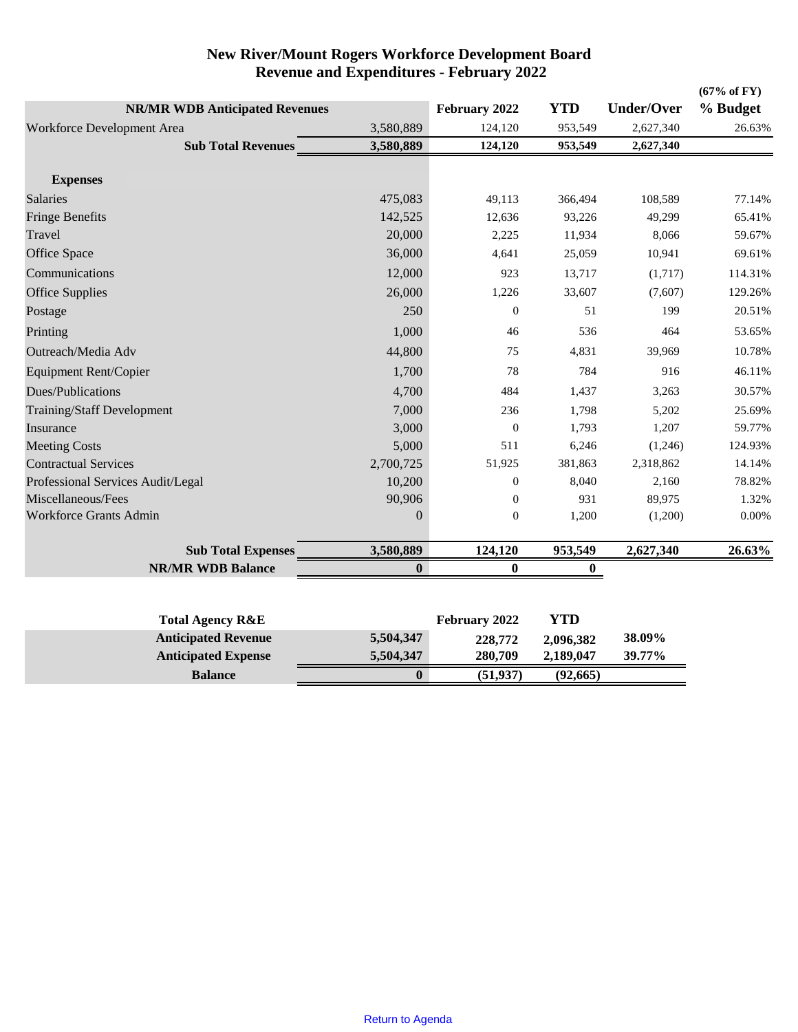| <b>NR/MR WDB Anticipated Revenues</b> |                  | February 2022    | <b>YTD</b> | <b>Under/Over</b> | $(67\% \text{ of FY})$<br>% Budget |
|---------------------------------------|------------------|------------------|------------|-------------------|------------------------------------|
| Workforce Development Area            | 3,580,889        | 124,120          | 953,549    | 2,627,340         | 26.63%                             |
| <b>Sub Total Revenues</b>             | 3,580,889        | 124,120          | 953,549    | 2,627,340         |                                    |
| <b>Expenses</b>                       |                  |                  |            |                   |                                    |
| <b>Salaries</b>                       | 475,083          | 49,113           | 366,494    | 108,589           | 77.14%                             |
| <b>Fringe Benefits</b>                | 142,525          | 12,636           | 93,226     | 49,299            | 65.41%                             |
| Travel                                | 20,000           | 2,225            | 11,934     | 8,066             | 59.67%                             |
| Office Space                          | 36,000           | 4,641            | 25,059     | 10,941            | 69.61%                             |
| Communications                        | 12,000           | 923              | 13,717     | (1,717)           | 114.31%                            |
| <b>Office Supplies</b>                | 26,000           | 1,226            | 33,607     | (7,607)           | 129.26%                            |
| Postage                               | 250              | $\boldsymbol{0}$ | 51         | 199               | 20.51%                             |
| Printing                              | 1,000            | 46               | 536        | 464               | 53.65%                             |
| Outreach/Media Adv                    | 44,800           | 75               | 4,831      | 39,969            | 10.78%                             |
| <b>Equipment Rent/Copier</b>          | 1,700            | 78               | 784        | 916               | 46.11%                             |
| Dues/Publications                     | 4,700            | 484              | 1,437      | 3,263             | 30.57%                             |
| <b>Training/Staff Development</b>     | 7,000            | 236              | 1,798      | 5,202             | 25.69%                             |
| Insurance                             | 3,000            | $\boldsymbol{0}$ | 1,793      | 1,207             | 59.77%                             |
| <b>Meeting Costs</b>                  | 5,000            | 511              | 6,246      | (1,246)           | 124.93%                            |
| <b>Contractual Services</b>           | 2,700,725        | 51,925           | 381,863    | 2,318,862         | 14.14%                             |
| Professional Services Audit/Legal     | 10,200           | $\theta$         | 8,040      | 2,160             | 78.82%                             |
| Miscellaneous/Fees                    | 90,906           | $\boldsymbol{0}$ | 931        | 89,975            | 1.32%                              |
| <b>Workforce Grants Admin</b>         | $\boldsymbol{0}$ | $\boldsymbol{0}$ | 1,200      | (1,200)           | $0.00\%$                           |
| <b>Sub Total Expenses</b>             | 3,580,889        | 124,120          | 953,549    | 2,627,340         | 26.63%                             |
| <b>NR/MR WDB Balance</b>              | $\bf{0}$         | $\bf{0}$         | $\bf{0}$   |                   |                                    |
|                                       |                  |                  |            |                   |                                    |
| <b>Total Agency R&amp;E</b>           |                  | February 2022    | <b>YTD</b> |                   |                                    |
| <b>Anticipated Revenue</b>            | 5,504,347        | 228,772          | 2,096,382  | 38.09%            |                                    |
| <b>Anticipated Expense</b>            | 5,504,347        | 280,709          | 2,189,047  | 39.77%            |                                    |
| <b>Balance</b>                        | $\bf{0}$         | (51, 937)        | (92, 665)  |                   |                                    |

### **New River/Mount Rogers Workforce Development Board Revenue and Expenditures - February 2022**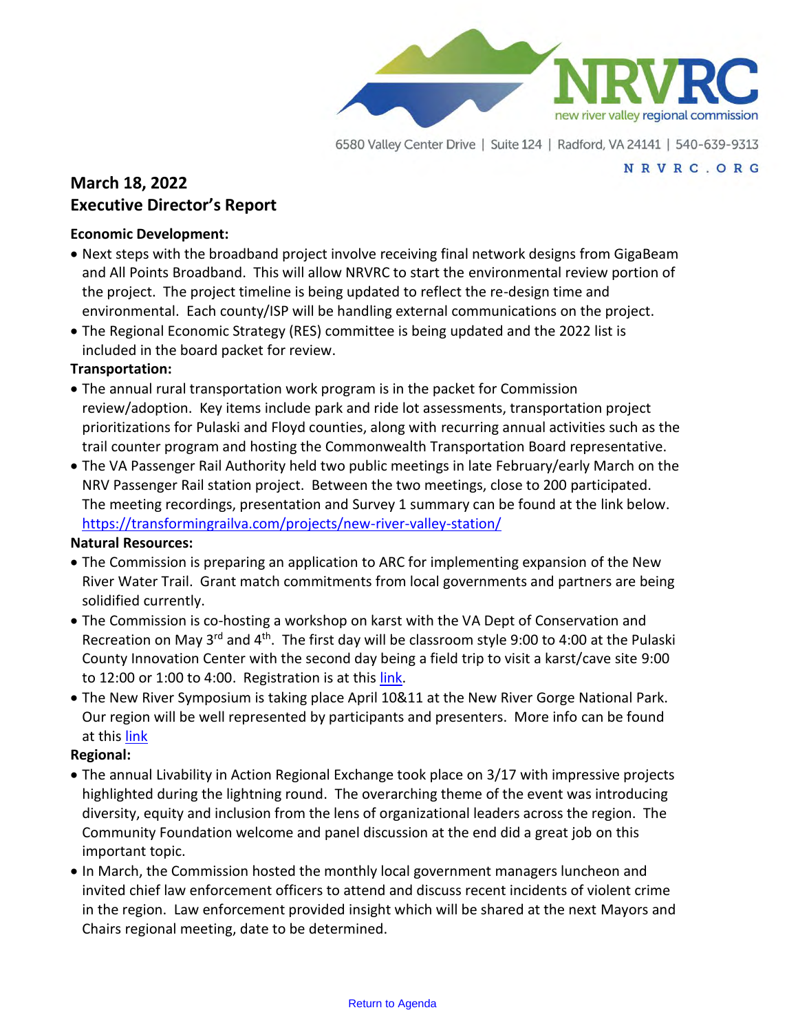

6580 Valley Center Drive | Suite 124 | Radford, VA 24141 | 540-639-9313

#### NRVRC.ORG

# <span id="page-5-0"></span>**March 18, 2022 Executive Director's Report**

### **Economic Development:**

- Next steps with the broadband project involve receiving final network designs from GigaBeam and All Points Broadband. This will allow NRVRC to start the environmental review portion of the project. The project timeline is being updated to reflect the re-design time and environmental. Each county/ISP will be handling external communications on the project.
- The Regional Economic Strategy (RES) committee is being updated and the 2022 list is included in the board packet for review.

### **Transportation:**

- The annual rural transportation work program is in the packet for Commission review/adoption. Key items include park and ride lot assessments, transportation project prioritizations for Pulaski and Floyd counties, along with recurring annual activities such as the trail counter program and hosting the Commonwealth Transportation Board representative.
- The VA Passenger Rail Authority held two public meetings in late February/early March on the NRV Passenger Rail station project. Between the two meetings, close to 200 participated. The meeting recordings, presentation and Survey 1 summary can be found at the link below. <https://transformingrailva.com/projects/new-river-valley-station/>

#### **Natural Resources:**

- The Commission is preparing an application to ARC for implementing expansion of the New River Water Trail. Grant match commitments from local governments and partners are being solidified currently.
- The Commission is co-hosting a workshop on karst with the VA Dept of Conservation and Recreation on May  $3^{rd}$  and  $4^{th}$ . The first day will be classroom style 9:00 to 4:00 at the Pulaski County Innovation Center with the second day being a field trip to visit a karst/cave site 9:00 to 12:00 or 1:00 to 4:00. Registration is at this  $link$ .
- The New River Symposium is taking place April 10&11 at the New River Gorge National Park. Our region will be well represented by participants and presenters. More info can be found at this [link](https://www.newriverconservancy.org/2022-events/2022-new-river-symposium)

#### **Regional:**

- The annual Livability in Action Regional Exchange took place on 3/17 with impressive projects highlighted during the lightning round. The overarching theme of the event was introducing diversity, equity and inclusion from the lens of organizational leaders across the region. The Community Foundation welcome and panel discussion at the end did a great job on this important topic.
- In March, the Commission hosted the monthly local government managers luncheon and invited chief law enforcement officers to attend and discuss recent incidents of violent crime in the region. Law enforcement provided insight which will be shared at the next Mayors and Chairs regional meeting, date to be determined.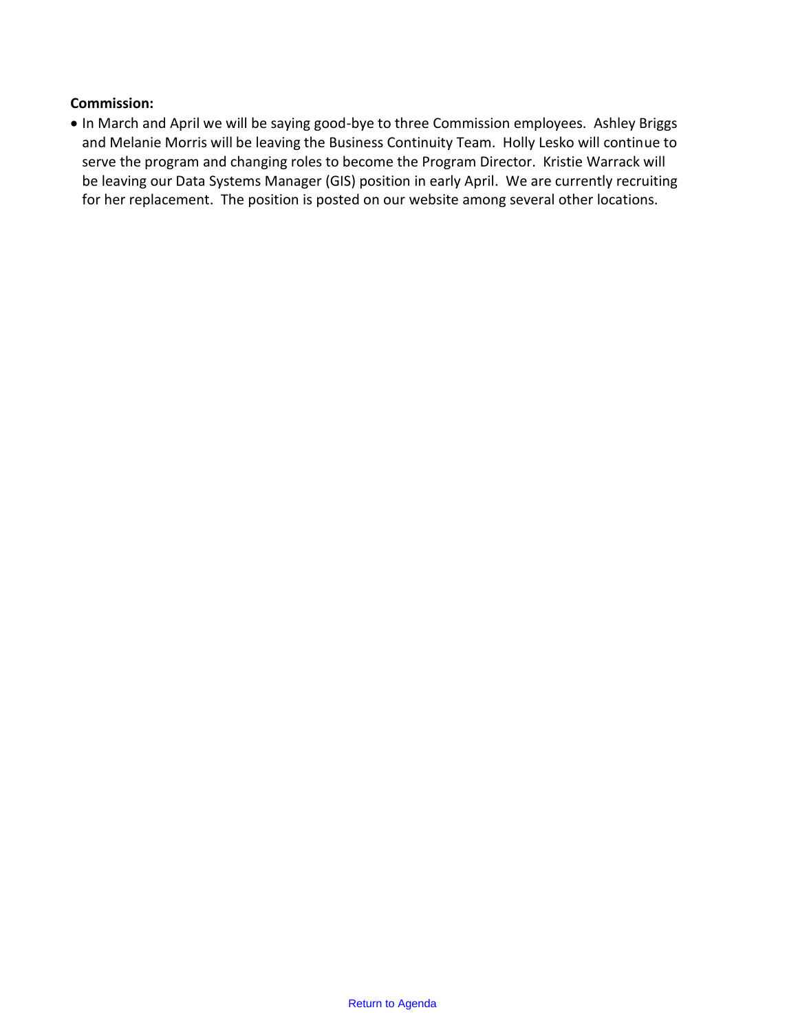### **Commission:**

• In March and April we will be saying good-bye to three Commission employees. Ashley Briggs and Melanie Morris will be leaving the Business Continuity Team. Holly Lesko will continue to serve the program and changing roles to become the Program Director. Kristie Warrack will be leaving our Data Systems Manager (GIS) position in early April. We are currently recruiting for her replacement. The position is posted on our website among several other locations.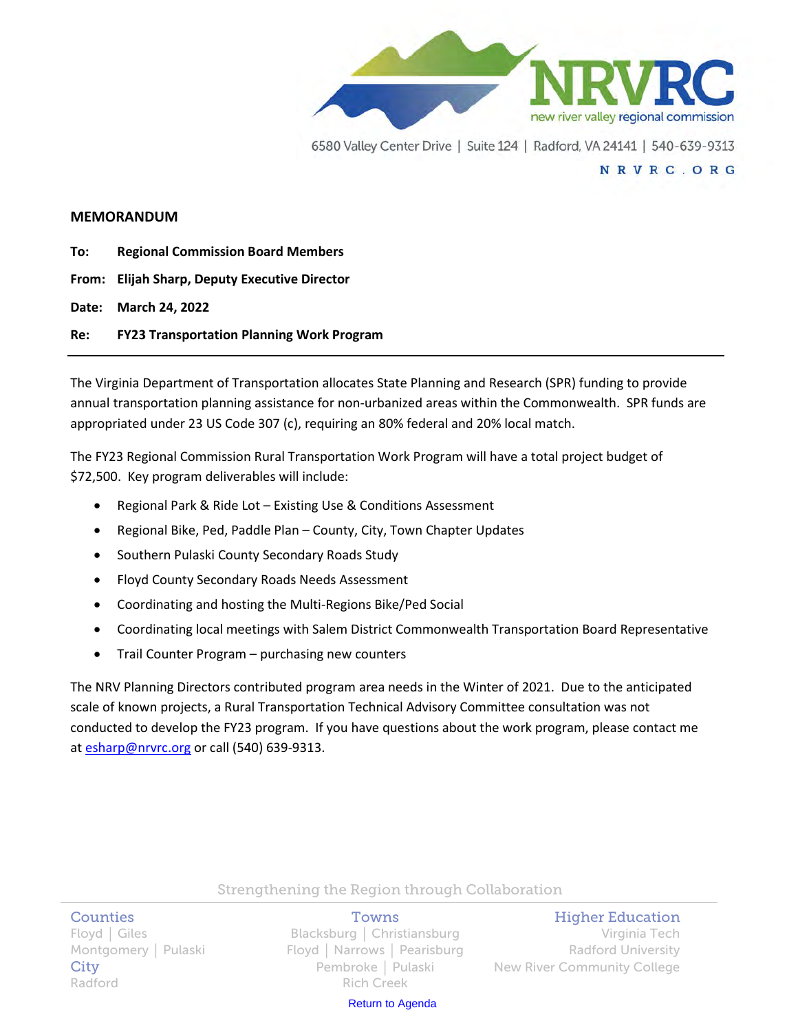

6580 Valley Center Drive | Suite 124 | Radford, VA 24141 | 540-639-9313

#### NRVRC.ORG

#### <span id="page-7-0"></span>**MEMORANDUM**

**To: Regional Commission Board Members From: Elijah Sharp, Deputy Executive Director Date: March 24, 2022 Re: FY23 Transportation Planning Work Program**

The Virginia Department of Transportation allocates State Planning and Research (SPR) funding to provide annual transportation planning assistance for non-urbanized areas within the Commonwealth. SPR funds are appropriated under 23 US Code 307 (c), requiring an 80% federal and 20% local match.

The FY23 Regional Commission Rural Transportation Work Program will have a total project budget of \$72,500. Key program deliverables will include:

- Regional Park & Ride Lot Existing Use & Conditions Assessment
- Regional Bike, Ped, Paddle Plan County, City, Town Chapter Updates
- Southern Pulaski County Secondary Roads Study
- Floyd County Secondary Roads Needs Assessment
- Coordinating and hosting the Multi-Regions Bike/Ped Social
- Coordinating local meetings with Salem District Commonwealth Transportation Board Representative
- Trail Counter Program purchasing new counters

The NRV Planning Directors contributed program area needs in the Winter of 2021. Due to the anticipated scale of known projects, a Rural Transportation Technical Advisory Committee consultation was not conducted to develop the FY23 program. If you have questions about the work program, please contact me at [esharp@nrvrc.org](mailto:esharp@nrvrc.org) or call (540) 639-9313.

#### Strengthening the Region through Collaboration

Return to Agenda

Floyd │ Narrows │ Pearisburg City Pembroke | Pulaski New River Community College<br>Radford Rich Creek **Rich Creek** 

### Counties **Towns** Towns **Higher Education**

Floyd | Giles **Blacksburg | Christiansburg | Christians** Bloyd | Giles Virginia Tech<br>Blacksburg | Pearisburg | Radford University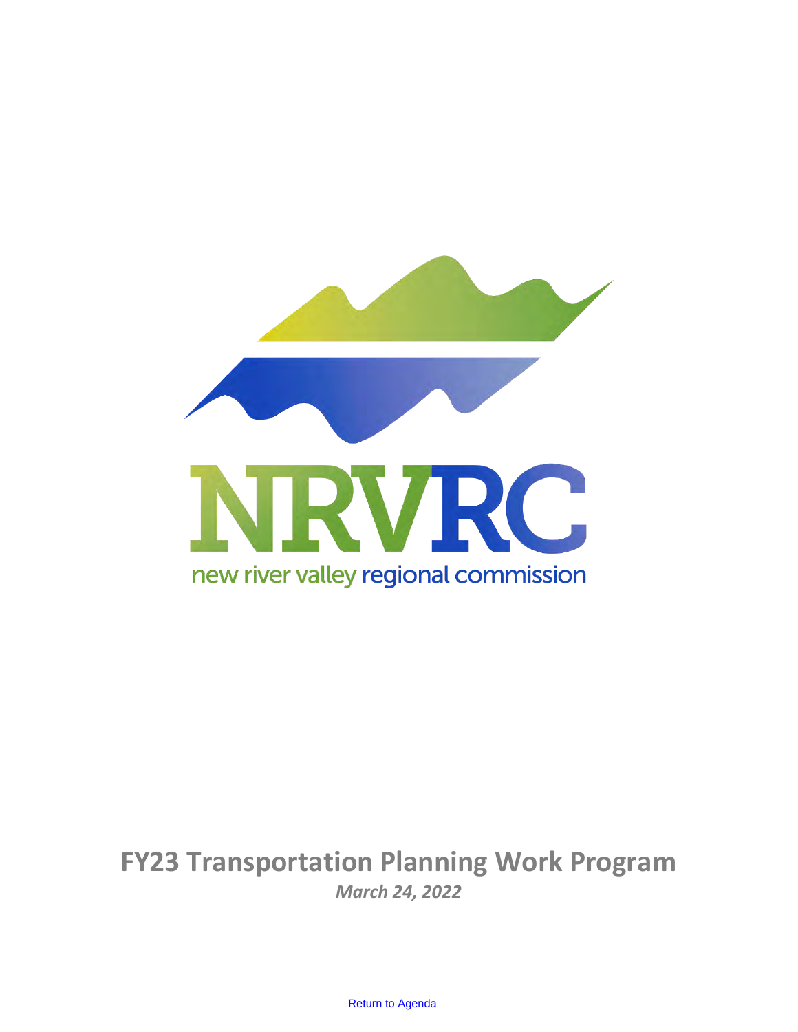

# **FY23 Transportation Planning Work Program** *March 24, 2022*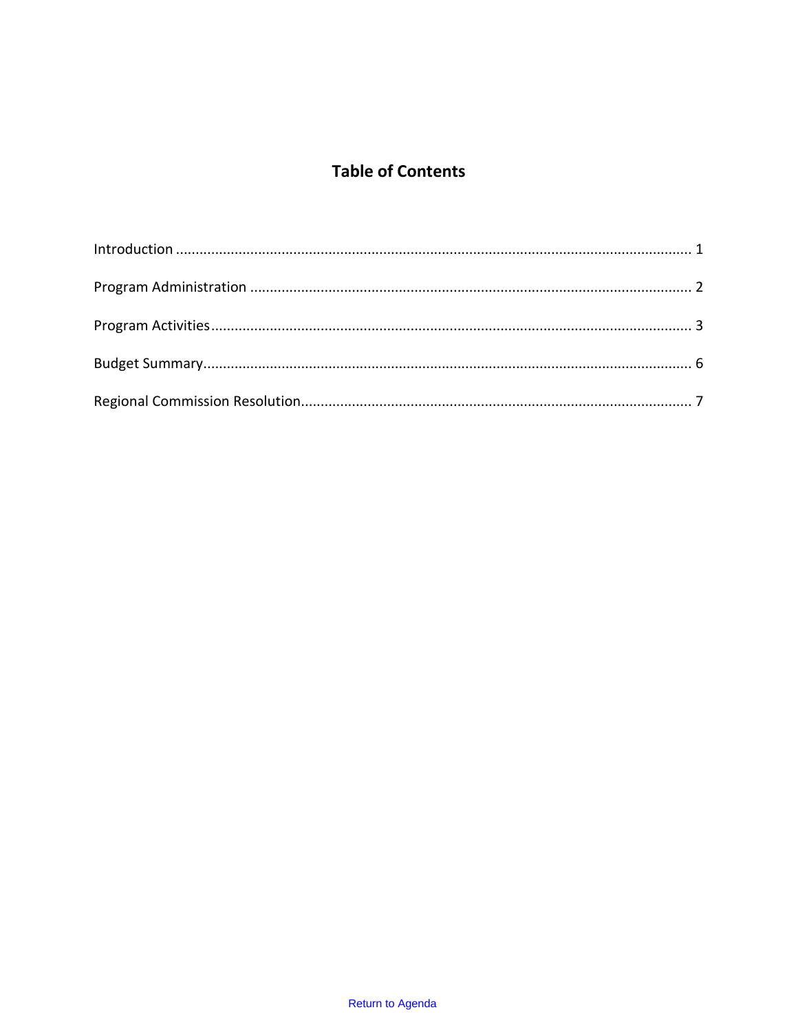# **Table of Contents**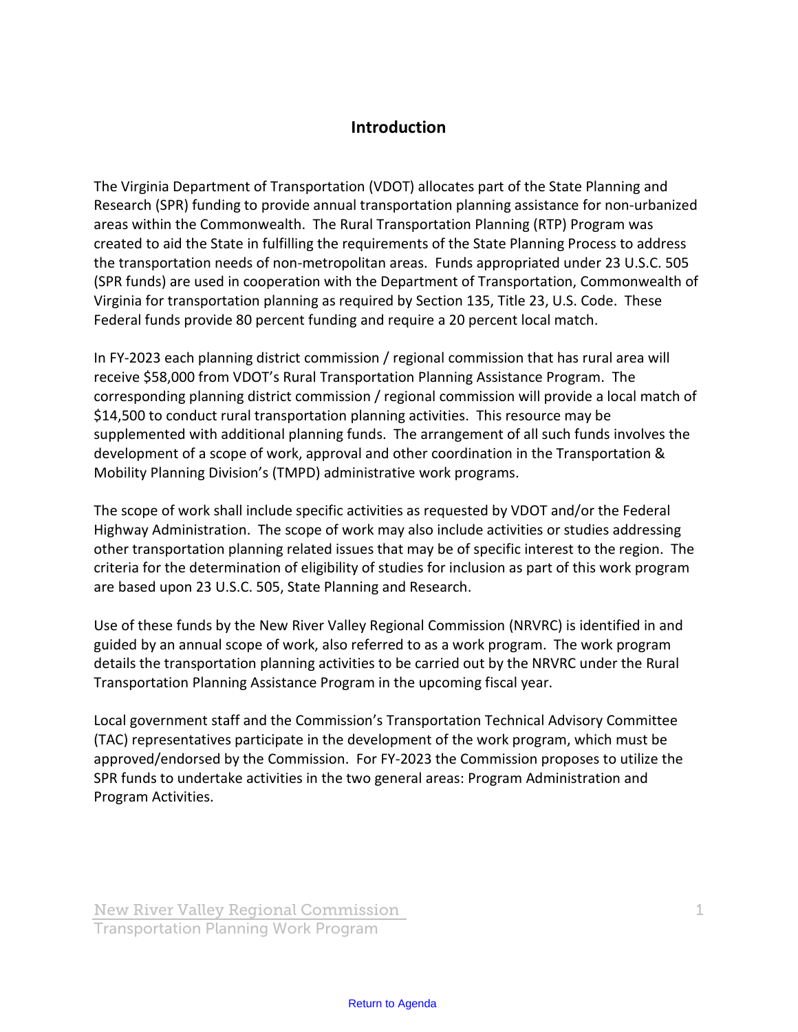### **Introduction**

The Virginia Department of Transportation (VDOT) allocates part of the State Planning and Research (SPR) funding to provide annual transportation planning assistance for non-urbanized areas within the Commonwealth. The Rural Transportation Planning (RTP) Program was created to aid the State in fulfilling the requirements of the State Planning Process to address the transportation needs of non-metropolitan areas. Funds appropriated under 23 U.S.C. 505 (SPR funds) are used in cooperation with the Department of Transportation, Commonwealth of Virginia for transportation planning as required by Section 135, Title 23, U.S. Code. These Federal funds provide 80 percent funding and require a 20 percent local match.

In FY-2023 each planning district commission / regional commission that has rural area will receive \$58,000 from VDOT's Rural Transportation Planning Assistance Program. The corresponding planning district commission / regional commission will provide a local match of \$14,500 to conduct rural transportation planning activities. This resource may be supplemented with additional planning funds. The arrangement of all such funds involves the development of a scope of work, approval and other coordination in the Transportation & Mobility Planning Division's (TMPD) administrative work programs.

The scope of work shall include specific activities as requested by VDOT and/or the Federal Highway Administration. The scope of work may also include activities or studies addressing other transportation planning related issues that may be of specific interest to the region. The criteria for the determination of eligibility of studies for inclusion as part of this work program are based upon 23 U.S.C. 505, State Planning and Research.

Use of these funds by the New River Valley Regional Commission (NRVRC) is identified in and guided by an annual scope of work, also referred to as a work program. The work program details the transportation planning activities to be carried out by the NRVRC under the Rural Transportation Planning Assistance Program in the upcoming fiscal year.

Local government staff and the Commission's Transportation Technical Advisory Committee (TAC) representatives participate in the development of the work program, which must be approved/endorsed by the Commission. For FY-2023 the Commission proposes to utilize the SPR funds to undertake activities in the two general areas: Program Administration and Program Activities.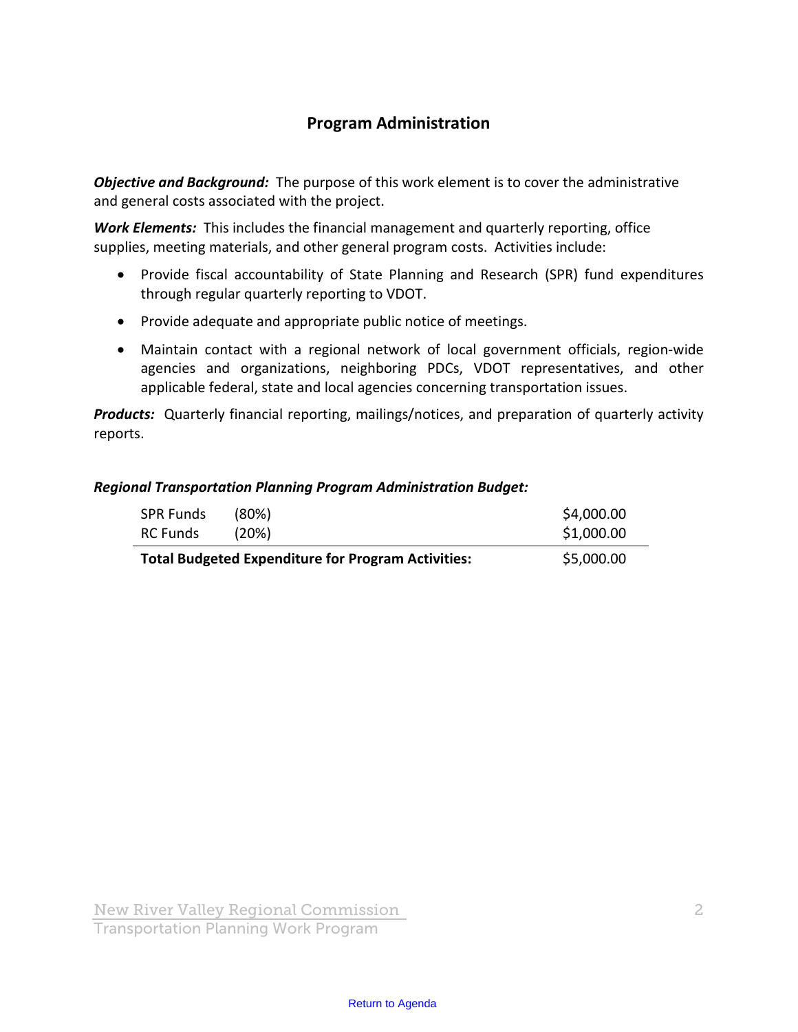# **Program Administration**

*Objective and Background:* The purpose of this work element is to cover the administrative and general costs associated with the project.

*Work Elements:* This includes the financial management and quarterly reporting, office supplies, meeting materials, and other general program costs. Activities include:

- Provide fiscal accountability of State Planning and Research (SPR) fund expenditures through regular quarterly reporting to VDOT.
- Provide adequate and appropriate public notice of meetings.
- Maintain contact with a regional network of local government officials, region-wide agencies and organizations, neighboring PDCs, VDOT representatives, and other applicable federal, state and local agencies concerning transportation issues.

**Products:** Quarterly financial reporting, mailings/notices, and preparation of quarterly activity reports.

#### *Regional Transportation Planning Program Administration Budget:*

| \$5,000.00<br><b>Total Budgeted Expenditure for Program Activities:</b> |          |            |  |  |
|-------------------------------------------------------------------------|----------|------------|--|--|
| RC Funds                                                                | (20%)    | \$1,000.00 |  |  |
| <b>SPR Funds</b>                                                        | $(80\%)$ | \$4,000.00 |  |  |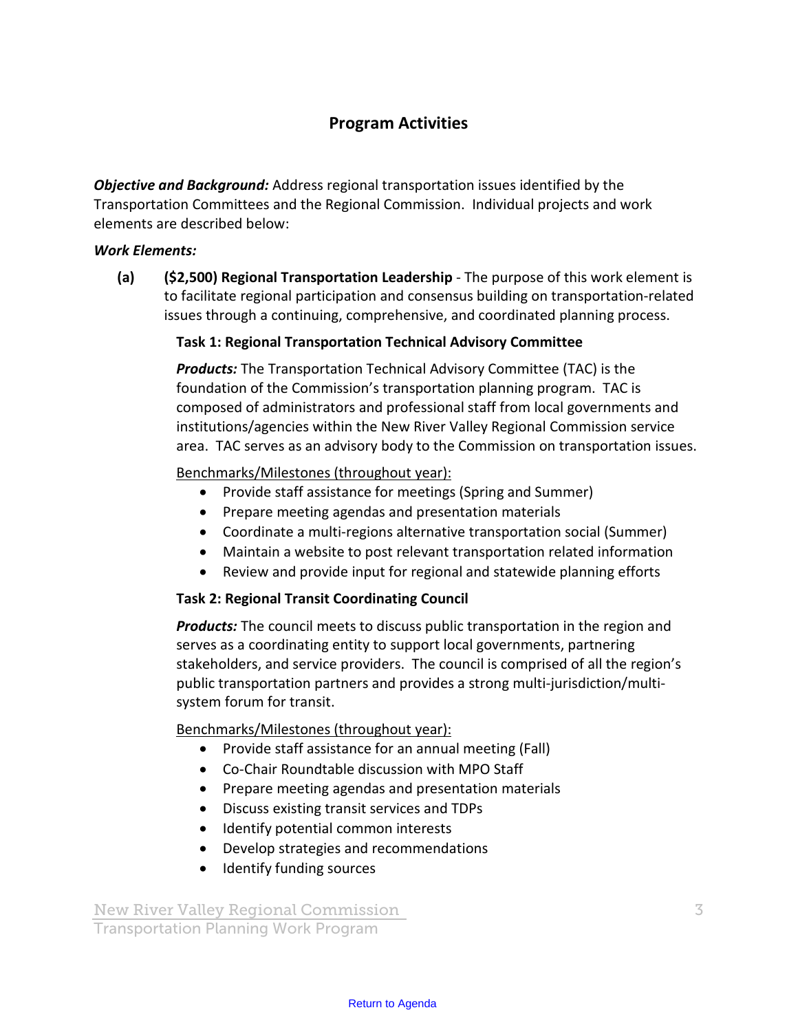# **Program Activities**

*Objective and Background:* Address regional transportation issues identified by the Transportation Committees and the Regional Commission. Individual projects and work elements are described below:

#### *Work Elements:*

**(a) (\$2,500) Regional Transportation Leadership** - The purpose of this work element is to facilitate regional participation and consensus building on transportation-related issues through a continuing, comprehensive, and coordinated planning process.

#### **Task 1: Regional Transportation Technical Advisory Committee**

*Products:* The Transportation Technical Advisory Committee (TAC) is the foundation of the Commission's transportation planning program. TAC is composed of administrators and professional staff from local governments and institutions/agencies within the New River Valley Regional Commission service area. TAC serves as an advisory body to the Commission on transportation issues.

Benchmarks/Milestones (throughout year):

- Provide staff assistance for meetings (Spring and Summer)
- Prepare meeting agendas and presentation materials
- Coordinate a multi-regions alternative transportation social (Summer)
- Maintain a website to post relevant transportation related information
- Review and provide input for regional and statewide planning efforts

#### **Task 2: Regional Transit Coordinating Council**

*Products:* The council meets to discuss public transportation in the region and serves as a coordinating entity to support local governments, partnering stakeholders, and service providers. The council is comprised of all the region's public transportation partners and provides a strong multi-jurisdiction/multisystem forum for transit.

Benchmarks/Milestones (throughout year):

- Provide staff assistance for an annual meeting (Fall)
- Co-Chair Roundtable discussion with MPO Staff
- Prepare meeting agendas and presentation materials
- Discuss existing transit services and TDPs
- Identify potential common interests
- Develop strategies and recommendations
- Identify funding sources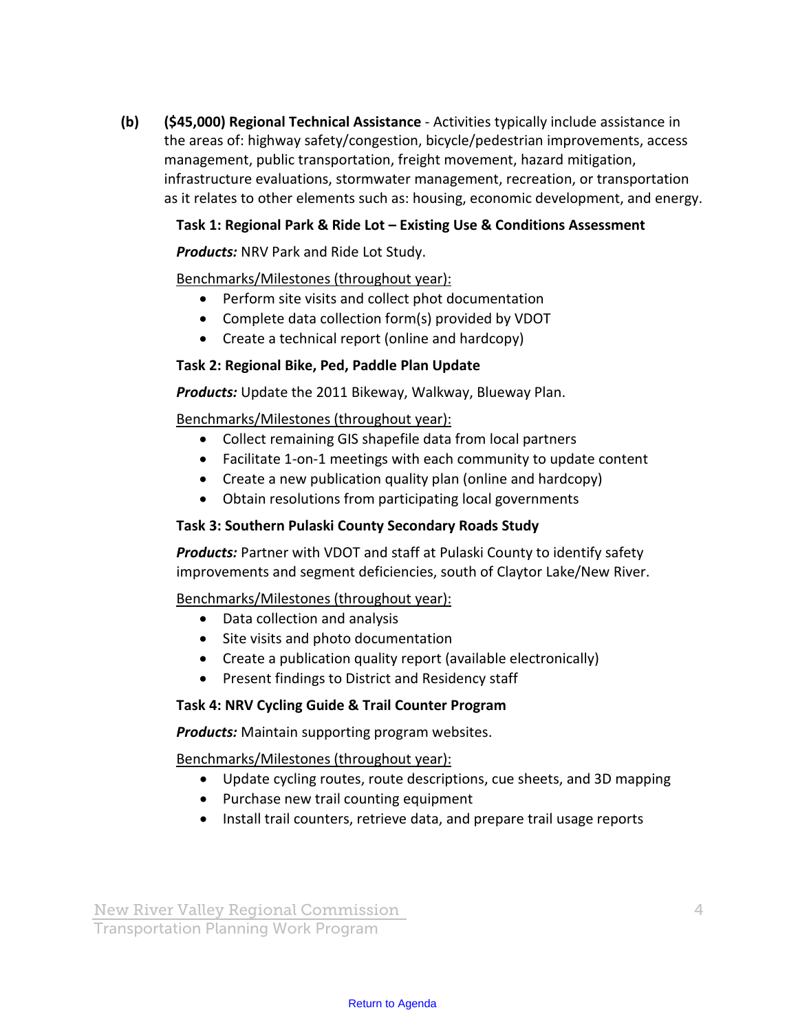**(b) (\$45,000) Regional Technical Assistance** - Activities typically include assistance in the areas of: highway safety/congestion, bicycle/pedestrian improvements, access management, public transportation, freight movement, hazard mitigation, infrastructure evaluations, stormwater management, recreation, or transportation as it relates to other elements such as: housing, economic development, and energy.

### **Task 1: Regional Park & Ride Lot – Existing Use & Conditions Assessment**

*Products:* NRV Park and Ride Lot Study.

Benchmarks/Milestones (throughout year):

- Perform site visits and collect phot documentation
- Complete data collection form(s) provided by VDOT
- Create a technical report (online and hardcopy)

### **Task 2: Regional Bike, Ped, Paddle Plan Update**

*Products:* Update the 2011 Bikeway, Walkway, Blueway Plan.

Benchmarks/Milestones (throughout year):

- Collect remaining GIS shapefile data from local partners
- Facilitate 1-on-1 meetings with each community to update content
- Create a new publication quality plan (online and hardcopy)
- Obtain resolutions from participating local governments

#### **Task 3: Southern Pulaski County Secondary Roads Study**

*Products:* Partner with VDOT and staff at Pulaski County to identify safety improvements and segment deficiencies, south of Claytor Lake/New River.

Benchmarks/Milestones (throughout year):

- Data collection and analysis
- Site visits and photo documentation
- Create a publication quality report (available electronically)
- Present findings to District and Residency staff

#### **Task 4: NRV Cycling Guide & Trail Counter Program**

*Products:* Maintain supporting program websites.

Benchmarks/Milestones (throughout year):

- Update cycling routes, route descriptions, cue sheets, and 3D mapping
- Purchase new trail counting equipment
- Install trail counters, retrieve data, and prepare trail usage reports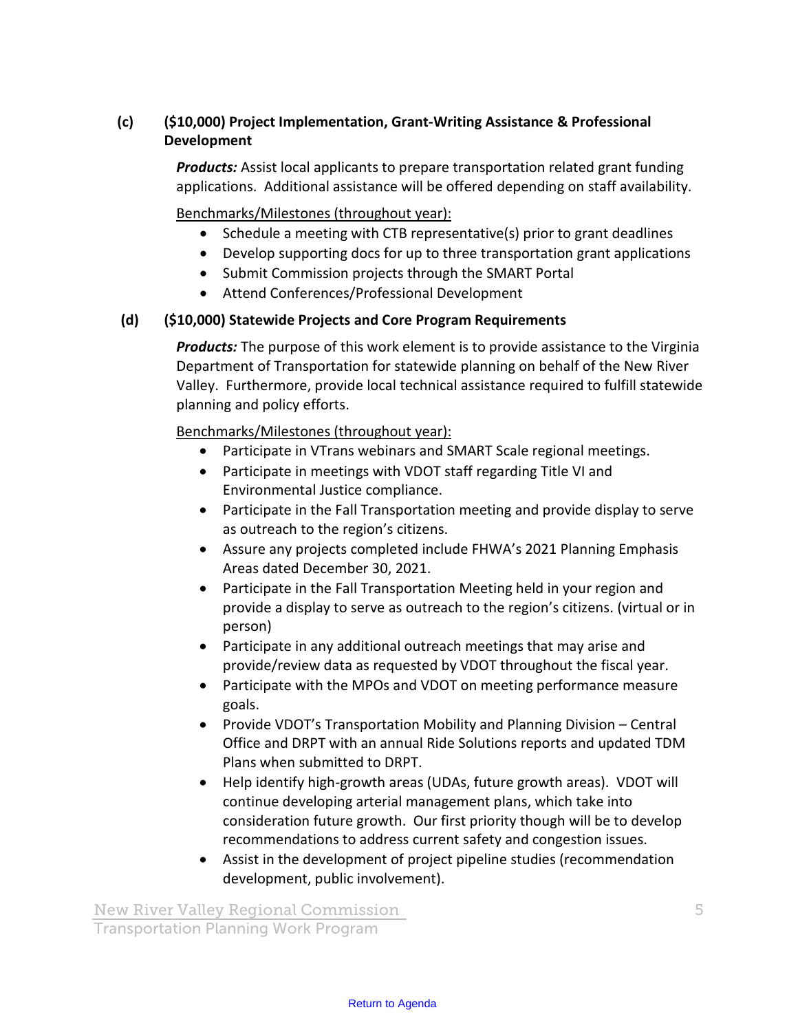### **(c) (\$10,000) Project Implementation, Grant-Writing Assistance & Professional Development**

*Products:* Assist local applicants to prepare transportation related grant funding applications. Additional assistance will be offered depending on staff availability.

Benchmarks/Milestones (throughout year):

- Schedule a meeting with CTB representative(s) prior to grant deadlines
- Develop supporting docs for up to three transportation grant applications
- Submit Commission projects through the SMART Portal
- Attend Conferences/Professional Development

### **(d) (\$10,000) Statewide Projects and Core Program Requirements**

*Products:* The purpose of this work element is to provide assistance to the Virginia Department of Transportation for statewide planning on behalf of the New River Valley. Furthermore, provide local technical assistance required to fulfill statewide planning and policy efforts.

Benchmarks/Milestones (throughout year):

- Participate in VTrans webinars and SMART Scale regional meetings.
- Participate in meetings with VDOT staff regarding Title VI and Environmental Justice compliance.
- Participate in the Fall Transportation meeting and provide display to serve as outreach to the region's citizens.
- Assure any projects completed include FHWA's 2021 Planning Emphasis Areas dated December 30, 2021.
- Participate in the Fall Transportation Meeting held in your region and provide a display to serve as outreach to the region's citizens. (virtual or in person)
- Participate in any additional outreach meetings that may arise and provide/review data as requested by VDOT throughout the fiscal year.
- Participate with the MPOs and VDOT on meeting performance measure goals.
- Provide VDOT's Transportation Mobility and Planning Division Central Office and DRPT with an annual Ride Solutions reports and updated TDM Plans when submitted to DRPT.
- Help identify high-growth areas (UDAs, future growth areas). VDOT will continue developing arterial management plans, which take into consideration future growth. Our first priority though will be to develop recommendations to address current safety and congestion issues.
- Assist in the development of project pipeline studies (recommendation development, public involvement).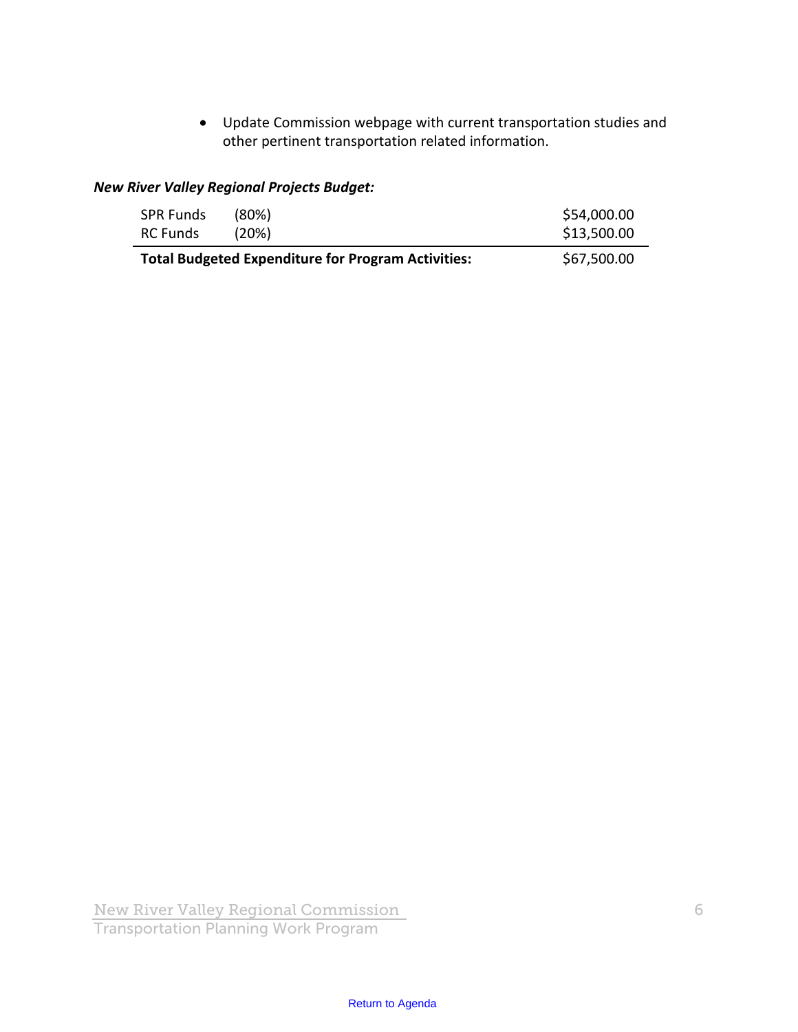• Update Commission webpage with current transportation studies and other pertinent transportation related information.

### *New River Valley Regional Projects Budget:*

| <b>SPR Funds</b>                                                         | (80%) | \$54,000.00 |  |
|--------------------------------------------------------------------------|-------|-------------|--|
| <b>RC Funds</b>                                                          | (20%) | \$13,500.00 |  |
| \$67,500.00<br><b>Total Budgeted Expenditure for Program Activities:</b> |       |             |  |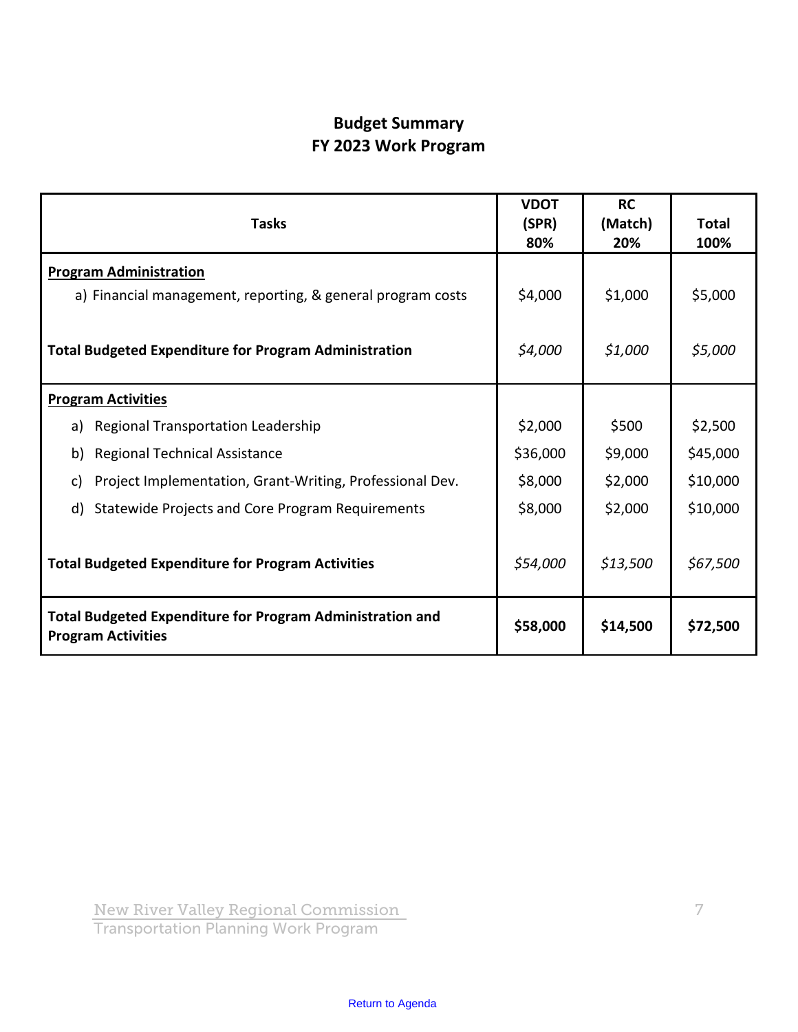# **Budget Summary FY 2023 Work Program**

| <b>Tasks</b>                                                                                  | <b>VDOT</b><br>(SPR)<br>80% | <b>RC</b><br>(Match)<br>20% | <b>Total</b><br>100% |
|-----------------------------------------------------------------------------------------------|-----------------------------|-----------------------------|----------------------|
| <b>Program Administration</b>                                                                 |                             |                             |                      |
| a) Financial management, reporting, & general program costs                                   | \$4,000                     | \$1,000                     | \$5,000              |
|                                                                                               |                             |                             |                      |
| <b>Total Budgeted Expenditure for Program Administration</b>                                  | \$4,000                     | \$1,000                     | \$5,000              |
|                                                                                               |                             |                             |                      |
| <b>Program Activities</b>                                                                     |                             |                             |                      |
| Regional Transportation Leadership<br>a)                                                      | \$2,000                     | \$500                       | \$2,500              |
| <b>Regional Technical Assistance</b><br>b)                                                    | \$36,000                    | \$9,000                     | \$45,000             |
| Project Implementation, Grant-Writing, Professional Dev.<br>c)                                | \$8,000                     | \$2,000                     | \$10,000             |
| Statewide Projects and Core Program Requirements<br>d)                                        | \$8,000                     | \$2,000                     | \$10,000             |
|                                                                                               |                             |                             |                      |
| <b>Total Budgeted Expenditure for Program Activities</b>                                      | \$54,000                    | \$13,500                    | \$67,500             |
|                                                                                               |                             |                             |                      |
| <b>Total Budgeted Expenditure for Program Administration and</b><br><b>Program Activities</b> | \$58,000                    | \$14,500                    | \$72,500             |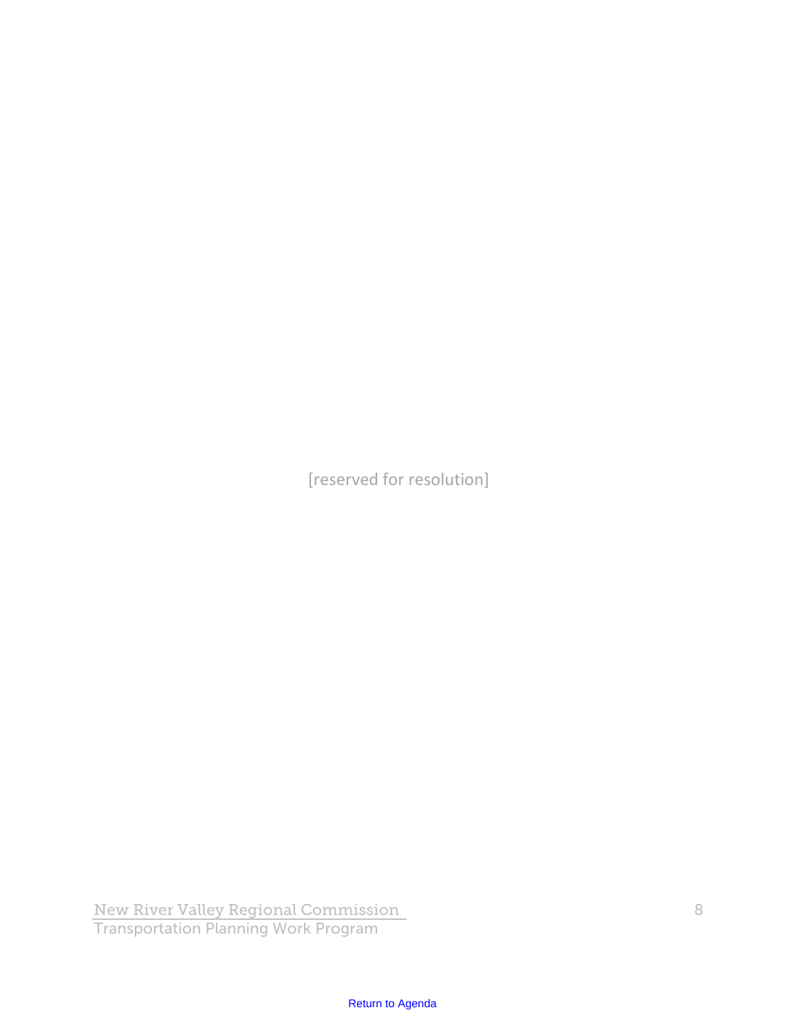[reserved for resolution]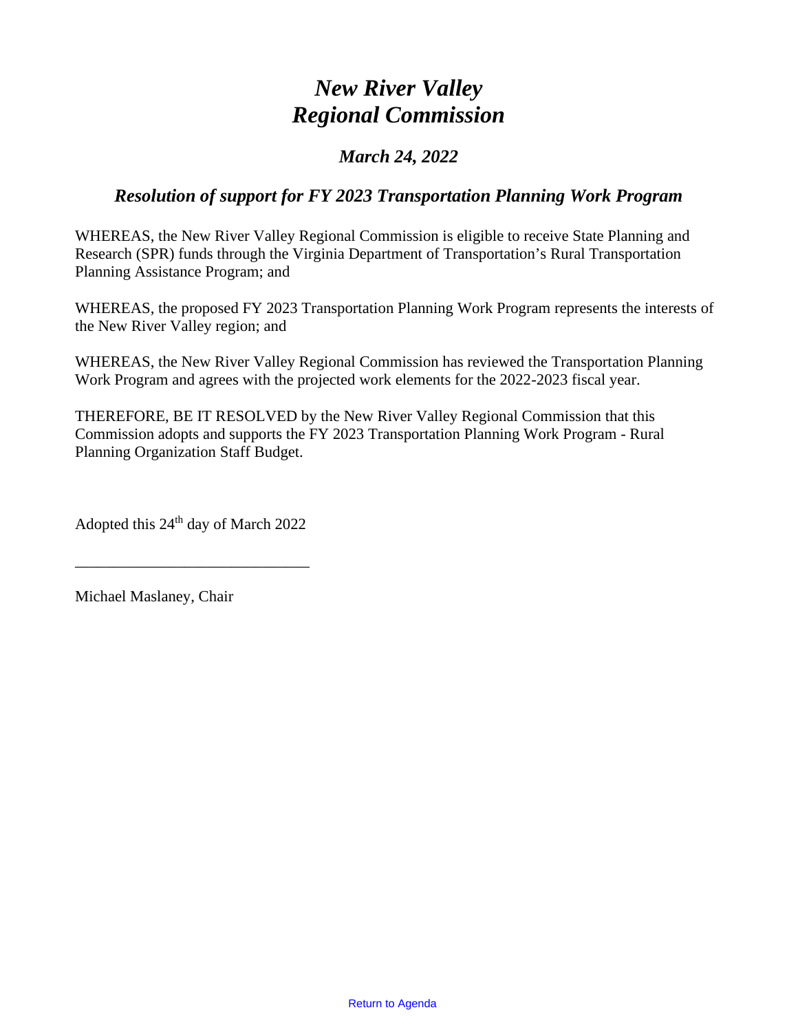# *New River Valley Regional Commission*

# *March 24, 2022*

### *Resolution of support for FY 2023 Transportation Planning Work Program*

WHEREAS, the New River Valley Regional Commission is eligible to receive State Planning and Research (SPR) funds through the Virginia Department of Transportation's Rural Transportation Planning Assistance Program; and

WHEREAS, the proposed FY 2023 Transportation Planning Work Program represents the interests of the New River Valley region; and

WHEREAS, the New River Valley Regional Commission has reviewed the Transportation Planning Work Program and agrees with the projected work elements for the 2022-2023 fiscal year.

THEREFORE, BE IT RESOLVED by the New River Valley Regional Commission that this Commission adopts and supports the FY 2023 Transportation Planning Work Program - Rural Planning Organization Staff Budget.

Adopted this  $24<sup>th</sup>$  day of March 2022

\_\_\_\_\_\_\_\_\_\_\_\_\_\_\_\_\_\_\_\_\_\_\_\_\_\_\_\_\_\_

Michael Maslaney, Chair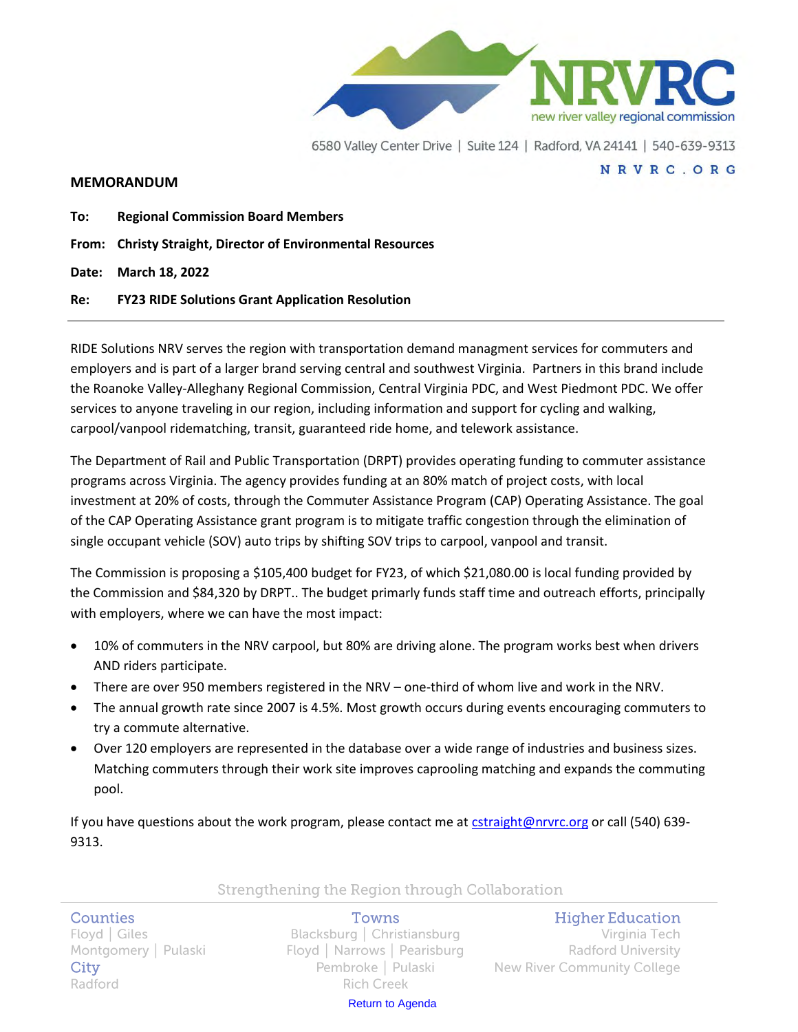

6580 Valley Center Drive | Suite 124 | Radford, VA 24141 | 540-639-9313

#### <span id="page-19-0"></span>**MEMORANDUM**

#### NRVRC.ORG

- **To: Regional Commission Board Members**
- **From: Christy Straight, Director of Environmental Resources**

**Date: March 18, 2022**

#### **Re: FY23 RIDE Solutions Grant Application Resolution**

RIDE Solutions NRV serves the region with transportation demand managment services for commuters and employers and is part of a larger brand serving central and southwest Virginia. Partners in this brand include the Roanoke Valley-Alleghany Regional Commission, Central Virginia PDC, and West Piedmont PDC. We offer services to anyone traveling in our region, including information and support for cycling and walking, carpool/vanpool ridematching, transit, guaranteed ride home, and telework assistance.

The Department of Rail and Public Transportation (DRPT) provides operating funding to commuter assistance programs across Virginia. The agency provides funding at an 80% match of project costs, with local investment at 20% of costs, through the Commuter Assistance Program (CAP) Operating Assistance. The goal of the CAP Operating Assistance grant program is to mitigate traffic congestion through the elimination of single occupant vehicle (SOV) auto trips by shifting SOV trips to carpool, vanpool and transit.

The Commission is proposing a \$105,400 budget for FY23, of which \$21,080.00 is local funding provided by the Commission and \$84,320 by DRPT.. The budget primarly funds staff time and outreach efforts, principally with employers, where we can have the most impact:

- 10% of commuters in the NRV carpool, but 80% are driving alone. The program works best when drivers AND riders participate.
- There are over 950 members registered in the NRV one-third of whom live and work in the NRV.
- The annual growth rate since 2007 is 4.5%. Most growth occurs during events encouraging commuters to try a commute alternative.
- Over 120 employers are represented in the database over a wide range of industries and business sizes. Matching commuters through their work site improves caprooling matching and expands the commuting pool.

If you have questions about the work program, please contact me at  $cstraight@nrvrc.org$  or call (540) 639-9313.

#### Strengthening the Region through Collaboration

#### **Counties**

City Radford

Towns Floyd | Giles Blacksburg | Christiansburg Montgomery | Pulaski Karl Koyd | Narrows | Pearisburg Pembroke | Pulaski **Rich Creek** 

Return to Agenda

# **Higher Education**

Virginia Tech **Radford University New River Community College**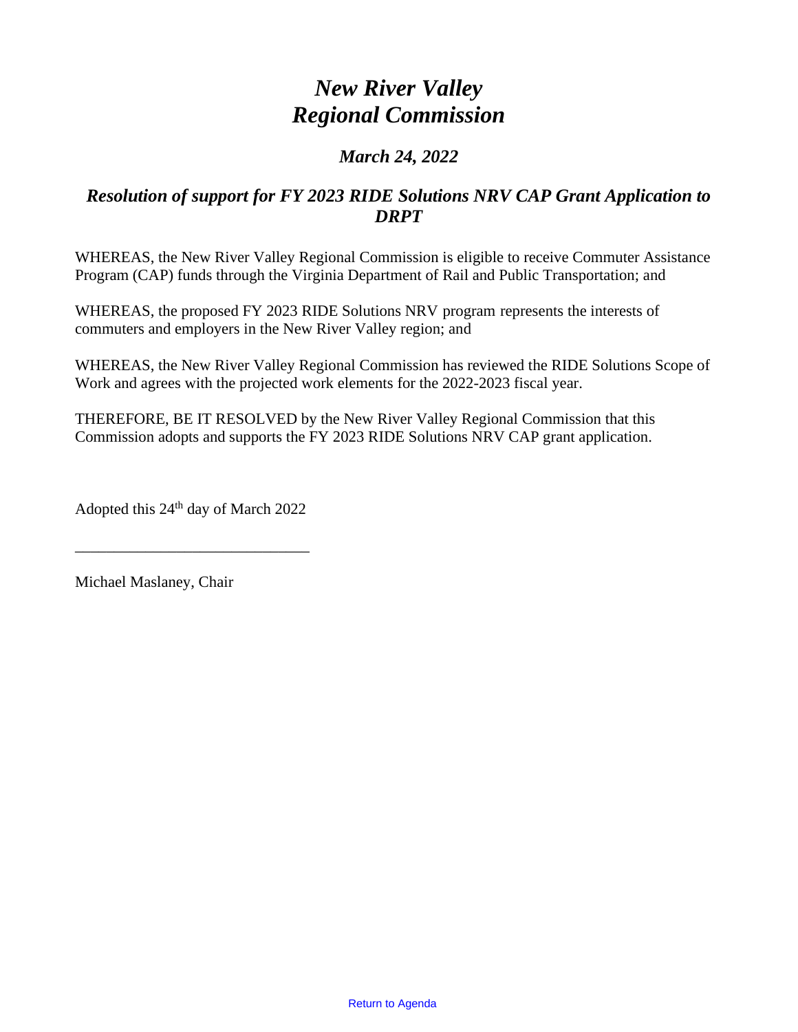# *New River Valley Regional Commission*

# *March 24, 2022*

# *Resolution of support for FY 2023 RIDE Solutions NRV CAP Grant Application to DRPT*

WHEREAS, the New River Valley Regional Commission is eligible to receive Commuter Assistance Program (CAP) funds through the Virginia Department of Rail and Public Transportation; and

WHEREAS, the proposed FY 2023 RIDE Solutions NRV program represents the interests of commuters and employers in the New River Valley region; and

WHEREAS, the New River Valley Regional Commission has reviewed the RIDE Solutions Scope of Work and agrees with the projected work elements for the 2022-2023 fiscal year.

THEREFORE, BE IT RESOLVED by the New River Valley Regional Commission that this Commission adopts and supports the FY 2023 RIDE Solutions NRV CAP grant application.

Adopted this 24<sup>th</sup> day of March 2022

\_\_\_\_\_\_\_\_\_\_\_\_\_\_\_\_\_\_\_\_\_\_\_\_\_\_\_\_\_\_

Michael Maslaney, Chair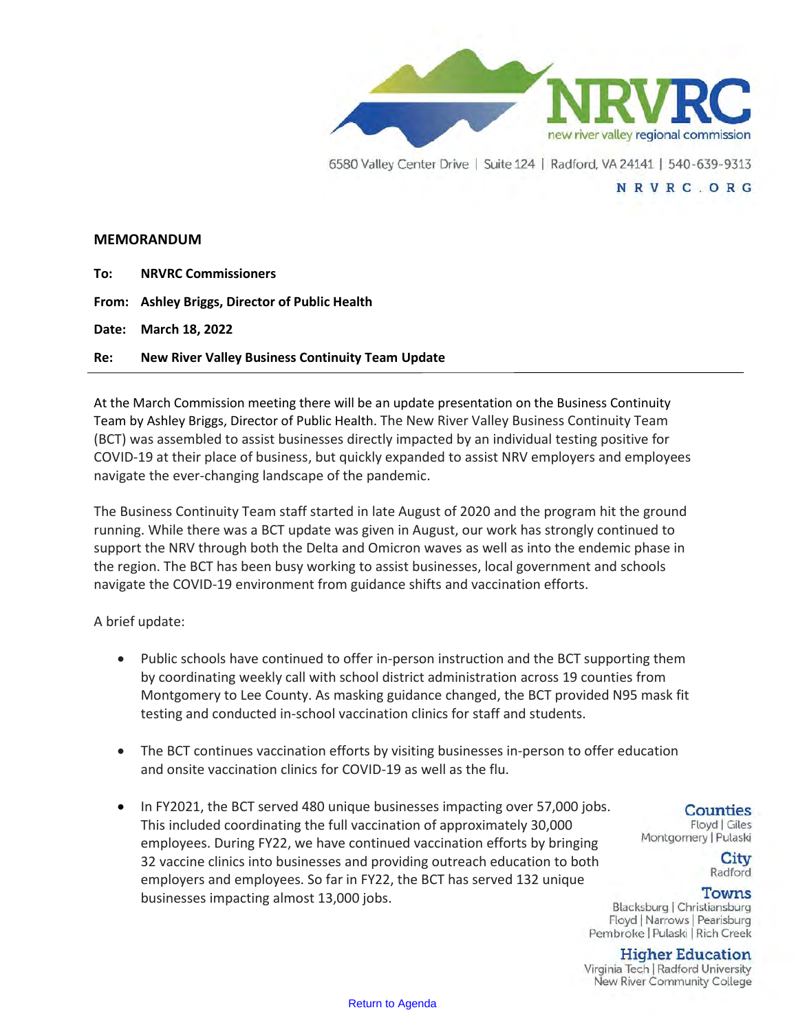

6580 Valley Center Drive | Suite 124 | Radford, VA 24141 | 540-639-9313 NRVRC.ORG

#### <span id="page-21-0"></span>**MEMORANDUM**

| To: | <b>NRVRC Commissioners</b>                       |
|-----|--------------------------------------------------|
|     | From: Ashley Briggs, Director of Public Health   |
|     | Date: March 18, 2022                             |
| Re: | New River Valley Business Continuity Team Update |

At the March Commission meeting there will be an update presentation on the Business Continuity Team by Ashley Briggs, Director of Public Health. The New River Valley Business Continuity Team (BCT) was assembled to assist businesses directly impacted by an individual testing positive for COVID-19 at their place of business, but quickly expanded to assist NRV employers and employees navigate the ever-changing landscape of the pandemic.

The Business Continuity Team staff started in late August of 2020 and the program hit the ground running. While there was a BCT update was given in August, our work has strongly continued to support the NRV through both the Delta and Omicron waves as well as into the endemic phase in the region. The BCT has been busy working to assist businesses, local government and schools navigate the COVID-19 environment from guidance shifts and vaccination efforts.

A brief update:

- Public schools have continued to offer in-person instruction and the BCT supporting them by coordinating weekly call with school district administration across 19 counties from Montgomery to Lee County. As masking guidance changed, the BCT provided N95 mask fit testing and conducted in-school vaccination clinics for staff and students.
- The BCT continues vaccination efforts by visiting businesses in-person to offer education and onsite vaccination clinics for COVID-19 as well as the flu.
- In FY2021, the BCT served 480 unique businesses impacting over 57,000 jobs. This included coordinating the full vaccination of approximately 30,000 employees. During FY22, we have continued vaccination efforts by bringing 32 vaccine clinics into businesses and providing outreach education to both employers and employees. So far in FY22, the BCT has served 132 unique businesses impacting almost 13,000 jobs.

Counties Floyd | Giles Montgomery | Pulaski

> City Radford

**Towns** 

Blacksburg | Christiansburg Floyd | Narrows | Pearisburg Pembroke | Pulaski | Rich Creek

#### **Higher Education**

Virginia Tech | Radford University New River Community College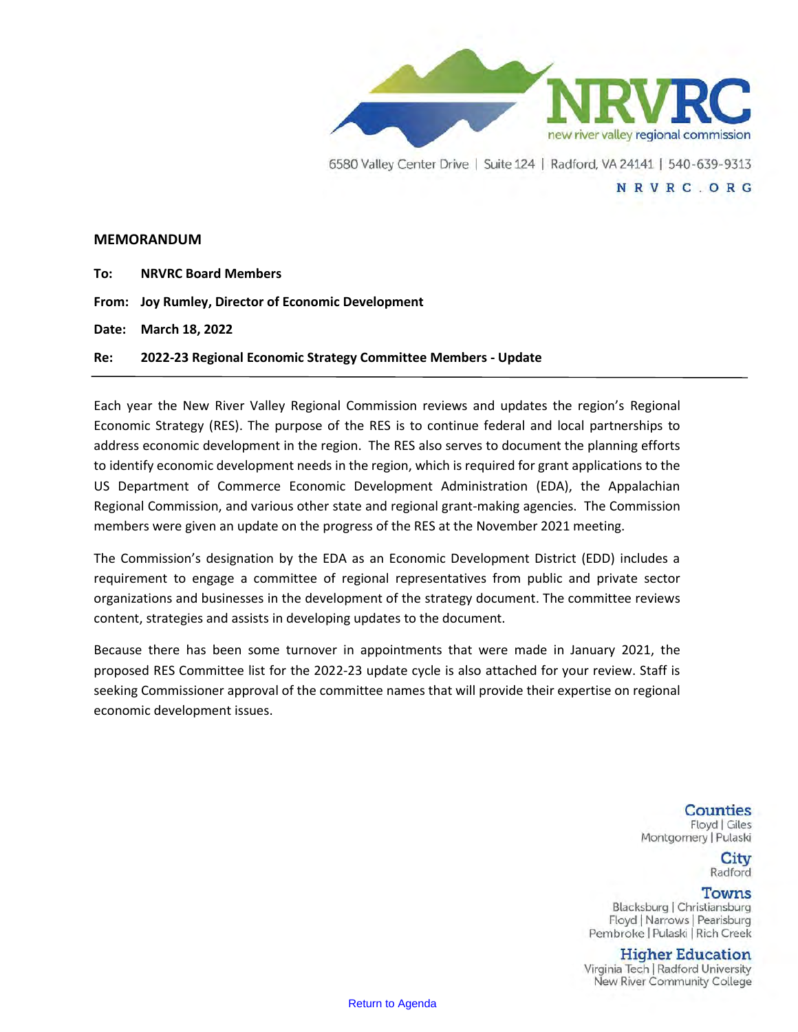

6580 Valley Center Drive | Suite 124 | Radford, VA 24141 | 540-639-9313 NRVRC.ORG

#### <span id="page-22-0"></span>**MEMORANDUM**

| Re: | 2022-23 Regional Economic Strategy Committee Members - Update |
|-----|---------------------------------------------------------------|
|     | Date: March 18, 2022                                          |
|     | From: Joy Rumley, Director of Economic Development            |
| To: | <b>NRVRC Board Members</b>                                    |

Each year the New River Valley Regional Commission reviews and updates the region's Regional Economic Strategy (RES). The purpose of the RES is to continue federal and local partnerships to address economic development in the region. The RES also serves to document the planning efforts to identify economic development needs in the region, which is required for grant applications to the US Department of Commerce Economic Development Administration (EDA), the Appalachian Regional Commission, and various other state and regional grant-making agencies. The Commission members were given an update on the progress of the RES at the November 2021 meeting.

The Commission's designation by the EDA as an Economic Development District (EDD) includes a requirement to engage a committee of regional representatives from public and private sector organizations and businesses in the development of the strategy document. The committee reviews content, strategies and assists in developing updates to the document.

Because there has been some turnover in appointments that were made in January 2021, the proposed RES Committee list for the 2022-23 update cycle is also attached for your review. Staff is seeking Commissioner approval of the committee names that will provide their expertise on regional economic development issues.

> Counties Floyd | Giles Montgomery | Pulaski

> > City Radford

#### Towns

Blacksburg | Christiansburg Floyd | Narrows | Pearisburg Pembroke | Pulaski | Rich Creek

**Higher Education** 

Virginia Tech | Radford University New River Community College